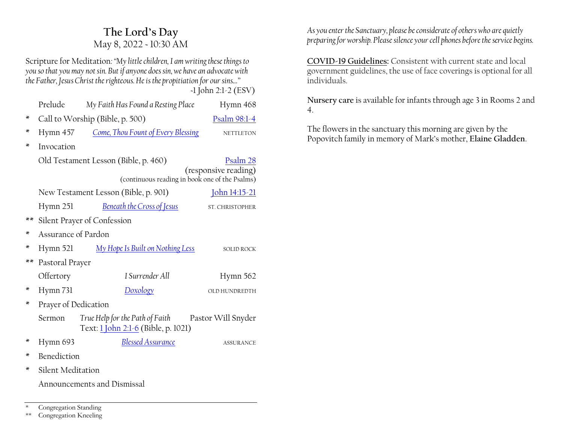# **The Lord·s Day** May 8, 2022 ~ 10:30 AM

Scripture for Meditation*:´My little children, I am writing these things to you so that you may not sin. But if anyone does sin, we have an advocate with the Father, Jesus Christ the righteous. He is the propitiation for our sins...*"  *~*1 John 2:1-2 (ESV)

|              | Prelude                                                                | My Faith Has Found a Resting Place                                     | Hymn 468           |  |  |
|--------------|------------------------------------------------------------------------|------------------------------------------------------------------------|--------------------|--|--|
| ×            |                                                                        | Call to Worship (Bible, p. 500)<br>Psalm 98:1-4                        |                    |  |  |
| ×            | Hymn 457                                                               | Come, Thou Fount of Every Blessing                                     | <b>NETTLETON</b>   |  |  |
| ×            | Invocation                                                             |                                                                        |                    |  |  |
|              | Old Testament Lesson (Bible, p. 460)                                   | Psalm 28                                                               |                    |  |  |
|              | (responsive reading)<br>(continuous reading in book one of the Psalms) |                                                                        |                    |  |  |
|              | New Testament Lesson (Bible, p. 901)<br><u>John 14:15-21</u>           |                                                                        |                    |  |  |
|              | Hymn 251                                                               | <b>Beneath the Cross of Jesus</b>                                      | ST. CHRISTOPHER    |  |  |
| **           | Silent Prayer of Confession                                            |                                                                        |                    |  |  |
| ×            | Assurance of Pardon                                                    |                                                                        |                    |  |  |
| ×            | Hymn 521                                                               | My Hope Is Built on Nothing Less                                       | SOLID ROCK         |  |  |
| $\star\star$ | Pastoral Prayer                                                        |                                                                        |                    |  |  |
|              | Offertory                                                              | I Surrender All                                                        | Hymn 562           |  |  |
| X            | Hymn 731                                                               | <b>Doxology</b>                                                        | OLD HUNDREDTH      |  |  |
| ×            | Prayer of Dedication                                                   |                                                                        |                    |  |  |
|              | Sermon                                                                 | True Help for the Path of Faith<br>Text: 1 John 2:1-6 (Bible, p. 1021) | Pastor Will Snyder |  |  |
| ×            | Hymn 693                                                               | <b>Blessed Assurance</b>                                               | <b>ASSURANCE</b>   |  |  |
| ×            | Benediction                                                            |                                                                        |                    |  |  |
| ×            | Silent Meditation                                                      |                                                                        |                    |  |  |
|              | Announcements and Dismissal                                            |                                                                        |                    |  |  |

Congregation Standing

\*\* Congregation Kneeling

*As you enter the Sanctuary, please be considerate of others who are quietly preparing for worship. Please silence your cell phones before the service begins.*

**COVID-19 Guidelines:** Consistent with current state and local government guidelines, the use of face coverings is optional for all individuals.

**Nursery care** is available for infants through age 3 in Rooms 2 and 4.

The flowers in the sanctuary this morning are given by the Popovitch family in memory of Mark's mother, Elaine Gladden.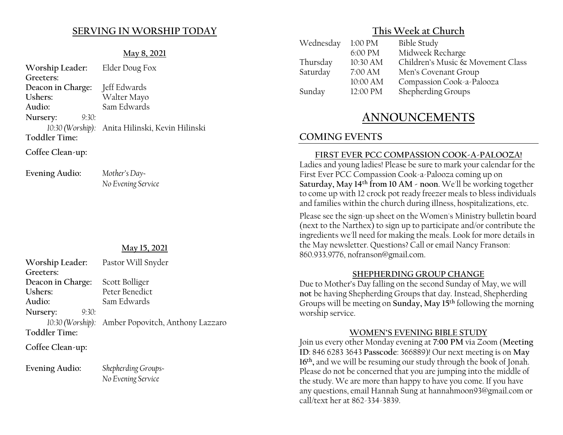## **SERVING IN WORSHIP TODAY**

#### **May 8, 2021**

| Worship Leader: Elder Doug Fox |                                                 |  |  |  |
|--------------------------------|-------------------------------------------------|--|--|--|
| Greeters:                      |                                                 |  |  |  |
| Deacon in Charge: Jeff Edwards |                                                 |  |  |  |
| Ushers:                        | Walter Mayo                                     |  |  |  |
| Audio:                         | Sam Edwards                                     |  |  |  |
| 9:30:<br>Nursery:              |                                                 |  |  |  |
|                                | 10:30 (Worship): Anita Hilinski, Kevin Hilinski |  |  |  |
| <b>Toddler Time:</b>           |                                                 |  |  |  |
| Coffee Clean-up:               |                                                 |  |  |  |

Evening Audio: *Mother's Day-*

*No Evening Service*

#### **May 15, 2021**

| Worship Leader: Pastor Will Snyder |                                                   |
|------------------------------------|---------------------------------------------------|
| Greeters:                          |                                                   |
| Deacon in Charge:                  | Scott Bolliger                                    |
| Ushers:                            | Peter Benedict                                    |
| Audio:                             | Sam Edwards                                       |
| Nursery:<br>9:30:                  |                                                   |
|                                    | 10:30 (Worship): Amber Popovitch, Anthony Lazzaro |
| <b>Toddler Time:</b>               |                                                   |
|                                    |                                                   |

**Coffee Clean-up:**

**Evening Audio:** *Shepherding Groups~*

*No Evening Service*

### **This Week at Church**

| Wednesday | 1:00 PM  | <b>Bible Study</b>                |
|-----------|----------|-----------------------------------|
|           | 6:00 PM  | Midweek Recharge                  |
| Thursday  | 10:30 AM | Children's Music & Movement Class |
| Saturday  | 7:00 AM  | Men's Covenant Group              |
|           | 10:00 AM | Compassion Cook-a-Palooza         |
| Sunday    | 12:00 PM | Shepherding Groups                |
|           |          |                                   |

# **ANNOUNCEMENTS**

# **COMING EVENTS**

#### **FIRST EVER PCC COMPASSION COOK-A-PALOOZA!**

Ladies and young ladies! Please be sure to mark your calendar for the First Ever PCC Compassion Cook-a-Palooza coming up on **Saturday, May 14th from 10 AM - noon**. We'll be working together to come up with 12 crock pot ready freezer meals to bless individuals and families within the church during illness, hospitalizations, etc.

Please see the sign-up sheet on the Women's Ministry bulletin board (next to the Narthex) to sign up to participate and/or contribute the ingredients we'll need for making the meals. Look for more details in the May newsletter. Questions? Call or email Nancy Franson: 860.933.9776, nofranson@gmail.com.

#### **SHEPHERDING GROUP CHANGE**

Due to Mother's Day falling on the second Sunday of May, we will **not** be having Shepherding Groups that day. Instead, Shepherding Groups will be meeting on **Sunday, May 15th** following the morning worship service.

#### **:20(1·6(9(1,1\*%IBLE STUDY**

Join us every other Monday evening at **7:00 PM** via Zoom (**Meeting ID**: 846 6283 3643 **Passcode**: 366889)! Our next meeting is on **May 16th,** and we will be resuming our study through the book of Jonah. Please do not be concerned that you are jumping into the middle of the study. We are more than happy to have you come. If you have any questions, email Hannah Sung at hannahmoon93@gmail.com or call/text her at 862-334-3839.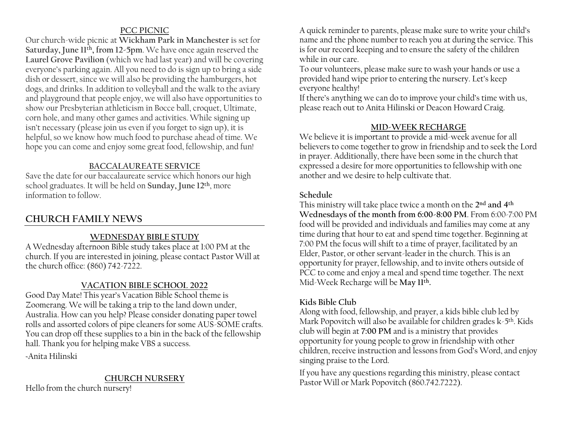#### **PCC PICNIC**

Our church-wide picnic at **Wickham Park in Manchester** is set for **Saturday, June 11th, from 12-5pm**. We have once again reserved the **Laurel Grove Pavilion** (which we had last year) and will be covering everyone's parking again. All you need to do is sign up to bring a side dish or dessert, since we will also be providing the hamburgers, hot dogs, and drinks. In addition to volleyball and the walk to the aviary and playground that people enjoy, we will also have opportunities to show our Presbyterian athleticism in Bocce ball, croquet, Ultimate, corn hole, and many other games and activities. While signing up isn't necessary (please join us even if you forget to sign up), it is helpful, so we know how much food to purchase ahead of time. We hope you can come and enjoy some great food, fellowship, and fun!

#### **BACCALAUREATE SERVICE**

Save the date for our baccalaureate service which honors our high school graduates. It will be held on **Sunday, June 12th**, more information to follow.

# **CHURCH FAMILY NEWS**

#### **WEDNESDAY BIBLE STUDY**

A Wednesday afternoon Bible study takes place at 1:00 PM at the church. If you are interested in joining, please contact Pastor Will at the church office: (860) 742-7222.

#### **VACATION BIBLE SCHOOL 2022**

Good Day Mate! This year's Vacation Bible School theme is Zoomerang. We will be taking a trip to the land down under, Australia. How can you help? Please consider donating paper towel rolls and assorted colors of pipe cleaners for some AUS-SOME crafts. You can drop off these supplies to a bin in the back of the fellowship hall. Thank you for helping make VBS a success.

~Anita Hilinski

#### **CHURCH NURSERY**

Hello from the church nursery!

A quick reminder to parents, please make sure to write your child's name and the phone number to reach you at during the service. This is for our record keeping and to ensure the safety of the children while in our care.

To our volunteers, please make sure to wash your hands or use a provided hand wipe prior to entering the nursery. Let's keep everyone healthy!

If there's anything we can do to improve your child's time with us, please reach out to Anita Hilinski or Deacon Howard Craig.

#### **MID-WEEK RECHARGE**

We believe it is important to provide a mid-week avenue for all believers to come together to grow in friendship and to seek the Lord in prayer. Additionally, there have been some in the church that expressed a desire for more opportunities to fellowship with one another and we desire to help cultivate that.

#### **Schedule**

This ministry will take place twice a month on the **2nd and 4th Wednesdays of the month from 6:00-8:00 PM**. From 6:00-7:00 PM food will be provided and individuals and families may come at any time during that hour to eat and spend time together. Beginning at 7:00 PM the focus will shift to a time of prayer, facilitated by an Elder, Pastor, or other servant-leader in the church. This is an opportunity for prayer, fellowship, and to invite others outside of PCC to come and enjoy a meal and spend time together. The next Mid-Week Recharge will be **May 11th.**

#### **Kids Bible Club**

Along with food, fellowship, and prayer, a kids bible club led by Mark Popovitch will also be available for children grades  $k-5<sup>th</sup>$ . Kids club will begin at **7:00 PM** and is a ministry that provides opportunity for young people to grow in friendship with other children, receive instruction and lessons from God's Word, and enjoy singing praise to the Lord.

If you have any questions regarding this ministry, please contact Pastor Will or Mark Popovitch (860.742.7222).